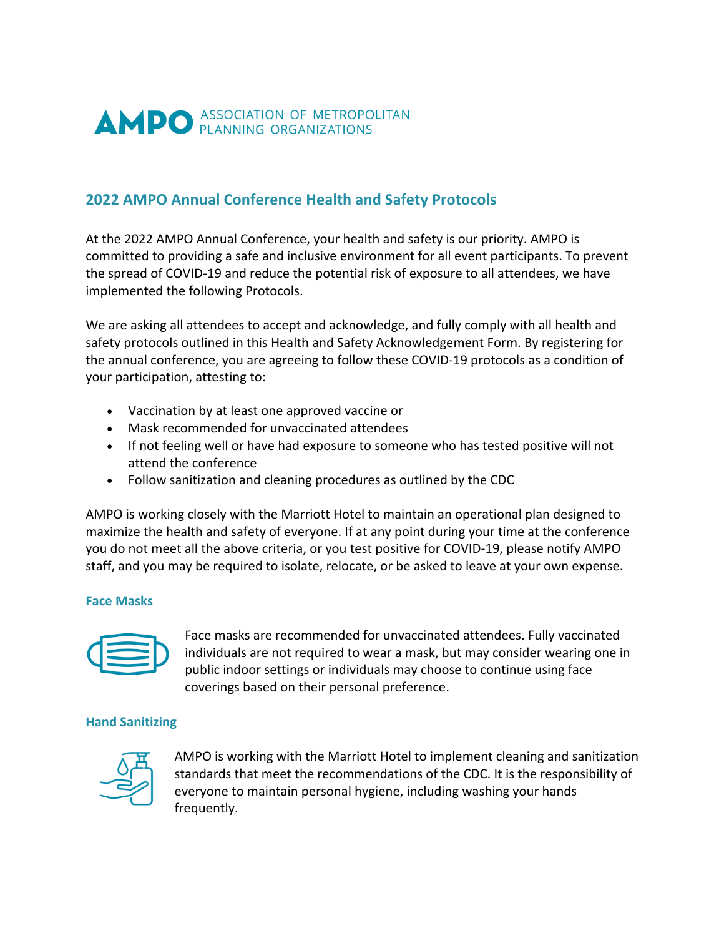

## **2022 AMPO Annual Conference Health and Safety Protocols**

At the 2022 AMPO Annual Conference, your health and safety is our priority. AMPO is committed to providing a safe and inclusive environment for all event participants. To prevent the spread of COVID-19 and reduce the potential risk of exposure to all attendees, we have implemented the following Protocols.

We are asking all attendees to accept and acknowledge, and fully comply with all health and safety protocols outlined in this Health and Safety Acknowledgement Form. By registering for the annual conference, you are agreeing to follow these COVID-19 protocols as a condition of your participation, attesting to:

- Vaccination by at least one approved vaccine or
- Mask recommended for unvaccinated attendees
- If not feeling well or have had exposure to someone who has tested positive will not attend the conference
- Follow sanitization and cleaning procedures as outlined by the CDC

AMPO is working closely with the Marriott Hotel to maintain an operational plan designed to maximize the health and safety of everyone. If at any point during your time at the conference you do not meet all the above criteria, or you test positive for COVID-19, please notify AMPO staff, and you may be required to isolate, relocate, or be asked to leave at your own expense.

## **Face Masks**



Face masks are recommended for unvaccinated attendees. Fully vaccinated individuals are not required to wear a mask, but may consider wearing one in public indoor settings or individuals may choose to continue using face coverings based on their personal preference.

## **Hand Sanitizing**



AMPO is working with the Marriott Hotel to implement cleaning and sanitization standards that meet the recommendations of the CDC. It is the responsibility of everyone to maintain personal hygiene, including washing your hands frequently.